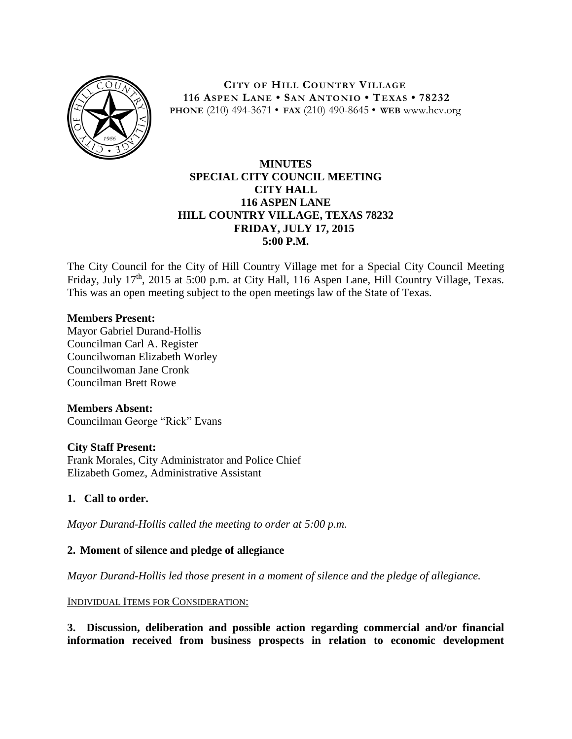

**CITY OF HILL COUNTRY VILLAGE 116 ASPEN LANE • SAN ANTONIO • TEXAS • 78232 PHONE** (210) 494-3671 • **FAX** (210) 490-8645 • **WEB** www.hcv.org

## **MINUTES SPECIAL CITY COUNCIL MEETING CITY HALL 116 ASPEN LANE HILL COUNTRY VILLAGE, TEXAS 78232 FRIDAY, JULY 17, 2015 5:00 P.M.**

The City Council for the City of Hill Country Village met for a Special City Council Meeting Friday, July 17<sup>th</sup>, 2015 at 5:00 p.m. at City Hall, 116 Aspen Lane, Hill Country Village, Texas. This was an open meeting subject to the open meetings law of the State of Texas.

### **Members Present:**

Mayor Gabriel Durand-Hollis Councilman Carl A. Register Councilwoman Elizabeth Worley Councilwoman Jane Cronk Councilman Brett Rowe

# **Members Absent:**

Councilman George "Rick" Evans

### **City Staff Present:**

Frank Morales, City Administrator and Police Chief Elizabeth Gomez, Administrative Assistant

### **1. Call to order.**

*Mayor Durand-Hollis called the meeting to order at 5:00 p.m.*

### **2. Moment of silence and pledge of allegiance**

*Mayor Durand-Hollis led those present in a moment of silence and the pledge of allegiance.*

INDIVIDUAL ITEMS FOR CONSIDERATION:

**3. Discussion, deliberation and possible action regarding commercial and/or financial information received from business prospects in relation to economic development**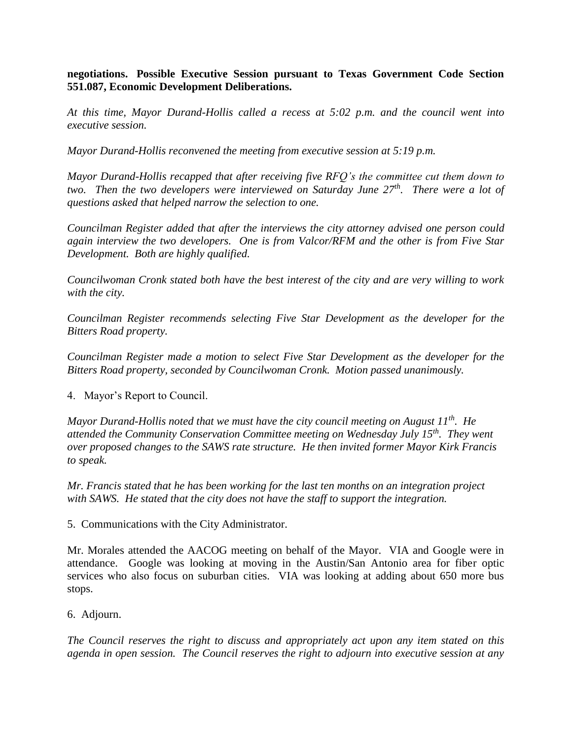**negotiations. Possible Executive Session pursuant to Texas Government Code Section 551.087, Economic Development Deliberations.** 

*At this time, Mayor Durand-Hollis called a recess at 5:02 p.m. and the council went into executive session.*

*Mayor Durand-Hollis reconvened the meeting from executive session at 5:19 p.m.*

*Mayor Durand-Hollis recapped that after receiving five RFQ's the committee cut them down to two. Then the two developers were interviewed on Saturday June 27th. There were a lot of questions asked that helped narrow the selection to one.*

*Councilman Register added that after the interviews the city attorney advised one person could again interview the two developers. One is from Valcor/RFM and the other is from Five Star Development. Both are highly qualified.* 

*Councilwoman Cronk stated both have the best interest of the city and are very willing to work with the city.*

*Councilman Register recommends selecting Five Star Development as the developer for the Bitters Road property.* 

*Councilman Register made a motion to select Five Star Development as the developer for the Bitters Road property, seconded by Councilwoman Cronk. Motion passed unanimously.*

4. Mayor's Report to Council.

*Mayor Durand-Hollis noted that we must have the city council meeting on August 11th. He attended the Community Conservation Committee meeting on Wednesday July 15th. They went over proposed changes to the SAWS rate structure. He then invited former Mayor Kirk Francis to speak.*

*Mr. Francis stated that he has been working for the last ten months on an integration project with SAWS. He stated that the city does not have the staff to support the integration.* 

5. Communications with the City Administrator.

Mr. Morales attended the AACOG meeting on behalf of the Mayor. VIA and Google were in attendance. Google was looking at moving in the Austin/San Antonio area for fiber optic services who also focus on suburban cities. VIA was looking at adding about 650 more bus stops.

6. Adjourn.

*The Council reserves the right to discuss and appropriately act upon any item stated on this agenda in open session. The Council reserves the right to adjourn into executive session at any*